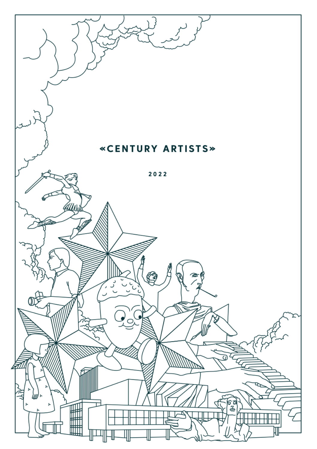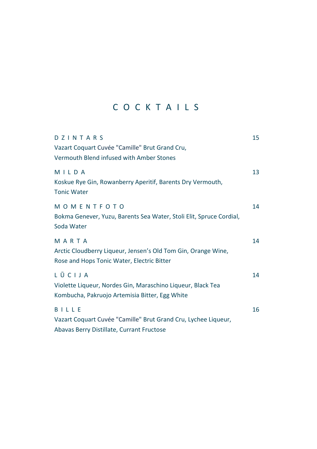# C O C K T A I L S

| DZINTARS<br>Vazart Coquart Cuvée "Camille" Brut Grand Cru,<br>Vermouth Blend infused with Amber Stones                  | 15 |
|-------------------------------------------------------------------------------------------------------------------------|----|
| MILDA<br>Koskue Rye Gin, Rowanberry Aperitif, Barents Dry Vermouth,<br><b>Tonic Water</b>                               | 13 |
| MOMENTFOTO<br>Bokma Genever, Yuzu, Barents Sea Water, Stoli Elit, Spruce Cordial,<br>Soda Water                         | 14 |
| MARTA<br>Arctic Cloudberry Liqueur, Jensen's Old Tom Gin, Orange Wine,<br>Rose and Hops Tonic Water, Electric Bitter    | 14 |
| LŪCIJA<br>Violette Liqueur, Nordes Gin, Maraschino Liqueur, Black Tea<br>Kombucha, Pakruojo Artemisia Bitter, Egg White | 14 |
| BILLE<br>Vazart Coquart Cuvée "Camille" Brut Grand Cru, Lychee Liqueur,<br>Abavas Berry Distillate, Currant Fructose    | 16 |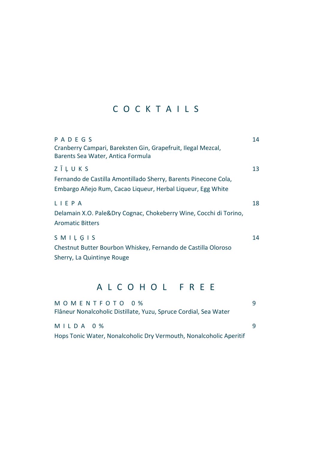## C O C K T A I L S

| PADEGS<br>Cranberry Campari, Bareksten Gin, Grapefruit, Ilegal Mezcal,<br>Barents Sea Water, Antica Formula                              | 14 |
|------------------------------------------------------------------------------------------------------------------------------------------|----|
| ZĪLUKS<br>Fernando de Castilla Amontillado Sherry, Barents Pinecone Cola,<br>Embargo Añejo Rum, Cacao Liqueur, Herbal Liqueur, Egg White | 13 |
| LIEPA<br>Delamain X.O. Pale&Dry Cognac, Chokeberry Wine, Cocchi di Torino,<br><b>Aromatic Bitters</b>                                    | 18 |
| $S$ M I L G I S<br>Chestnut Butter Bourbon Whiskey, Fernando de Castilla Oloroso<br>Sherry, La Quintinye Rouge                           | 14 |

#### A L C O H O L F R E E

| MOMENTFOTO 0%                                                      | q |
|--------------------------------------------------------------------|---|
| Flâneur Nonalcoholic Distillate, Yuzu, Spruce Cordial, Sea Water   |   |
| MILDA 0 %                                                          | q |
| Hops Tonic Water, Nonalcoholic Dry Vermouth, Nonalcoholic Aperitif |   |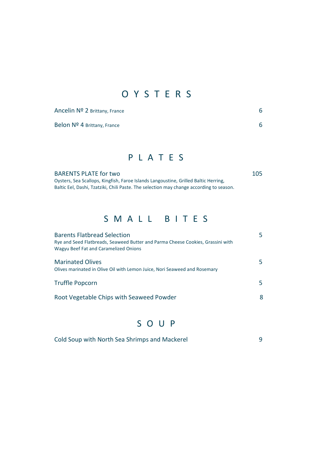## O Y S T E R S

Ancelin Nº 2 Brittany, France 6

Belon Nº 4 Brittany, France 6

#### P L A T E S

BARENTS PLATE for two 105 Oysters, Sea Scallops, Kingfish, Faroe Islands Langoustine, Grilled Baltic Herring, Baltic Eel, Dashi, Tzatziki, Chili Paste. The selection may change according to season.

### S M A L L B I T E S

| <b>Barents Flatbread Selection</b><br>Rye and Seed Flatbreads, Seaweed Butter and Parma Cheese Cookies, Grassini with<br>Wagyu Beef Fat and Caramelized Onions | 5 |
|----------------------------------------------------------------------------------------------------------------------------------------------------------------|---|
| <b>Marinated Olives</b><br>Olives marinated in Olive Oil with Lemon Juice, Nori Seaweed and Rosemary                                                           | 5 |
| <b>Truffle Popcorn</b>                                                                                                                                         | 5 |
| Root Vegetable Chips with Seaweed Powder                                                                                                                       | 8 |

## S O U P

| Cold Soup with North Sea Shrimps and Mackerel |  |
|-----------------------------------------------|--|
|-----------------------------------------------|--|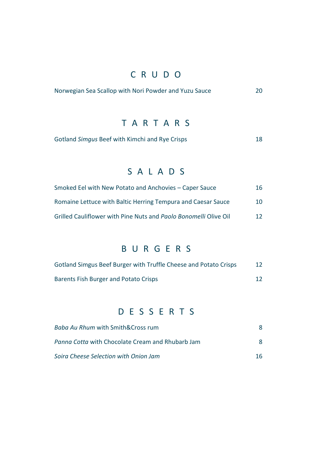# C R U D O

| Norwegian Sea Scallop with Nori Powder and Yuzu Sauce |  |
|-------------------------------------------------------|--|
|-------------------------------------------------------|--|

#### TARTARS

| Gotland Simgus Beef with Kimchi and Rye Crisps |  |
|------------------------------------------------|--|
|------------------------------------------------|--|

## S A L A D S

| Smoked Eel with New Potato and Anchovies – Caper Sauce           | 16 |
|------------------------------------------------------------------|----|
| Romaine Lettuce with Baltic Herring Tempura and Caesar Sauce     | 10 |
| Grilled Cauliflower with Pine Nuts and Paolo Bonomelli Olive Oil | 12 |

### B U R G E R S

| Gotland Simgus Beef Burger with Truffle Cheese and Potato Crisps | 12 |
|------------------------------------------------------------------|----|
| Barents Fish Burger and Potato Crisps                            | 12 |

## D E S S E R T S

| Baba Au Rhum with Smith⨯ rum                     | 8  |
|--------------------------------------------------|----|
| Panna Cotta with Chocolate Cream and Rhubarb Jam | 8  |
| Soira Cheese Selection with Onion Jam            | 16 |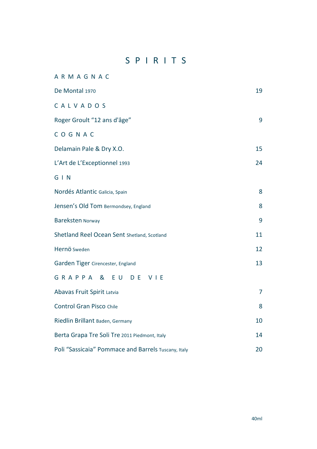#### S P I R I T S

| <b>ARMAGNAC</b>                                     |                |
|-----------------------------------------------------|----------------|
| De Montal 1970                                      | 19             |
| CALVADOS                                            |                |
| Roger Groult "12 ans d'âge"                         | 9              |
| COGNAC                                              |                |
| Delamain Pale & Dry X.O.                            | 15             |
| L'Art de L'Exceptionnel 1993                        | 24             |
| $G \mid N$                                          |                |
| Nordés Atlantic Galicia, Spain                      | 8              |
| Jensen's Old Tom Bermondsey, England                | 8              |
| <b>Bareksten Norway</b>                             | 9              |
| Shetland Reel Ocean Sent Shetland, Scotland         | 11             |
| Hernö Sweden                                        | 12             |
| Garden Tiger Cirencester, England                   | 13             |
| GRAPPA & EU DE VIE                                  |                |
| Abavas Fruit Spirit Latvia                          | $\overline{7}$ |
| <b>Control Gran Pisco Chile</b>                     | 8              |
| Riedlin Brillant Baden, Germany                     | 10             |
| Berta Grapa Tre Soli Tre 2011 Piedmont, Italy       | 14             |
| Poli "Sassicaia" Pommace and Barrels Tuscany, Italy | 20             |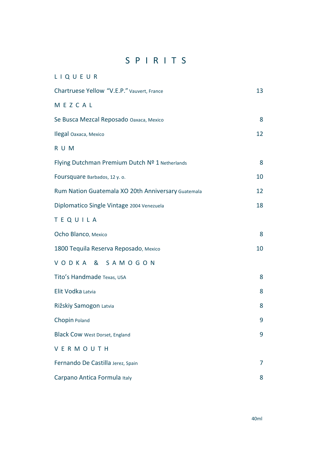### S P I R I T S

| LIQUEUR                                            |                |
|----------------------------------------------------|----------------|
| Chartruese Yellow "V.E.P." Vauvert, France         | 13             |
| MEZCAL                                             |                |
| Se Busca Mezcal Reposado Oaxaca, Mexico            | 8              |
| Ilegal Oaxaca, Mexico                              | 12             |
| R U M                                              |                |
| Flying Dutchman Premium Dutch Nº 1 Netherlands     | 8              |
| Foursquare Barbados, 12 y. o.                      | 10             |
| Rum Nation Guatemala XO 20th Anniversary Guatemala | 12             |
| Diplomatico Single Vintage 2004 Venezuela          | 18             |
| TEQUILA                                            |                |
| Ocho Blanco, Mexico                                | 8              |
| 1800 Tequila Reserva Reposado, Mexico              | 10             |
| VODKA & SAMOGON                                    |                |
| Tito's Handmade Texas, USA                         | 8              |
| Elit Vodka Latvia                                  | 8              |
| Rižskiy Samogon Latvia                             | 8              |
| Chopin Poland                                      | 9              |
| <b>Black Cow West Dorset, England</b>              | 9              |
| VERMOUTH                                           |                |
| Fernando De Castilla Jerez, Spain                  | $\overline{7}$ |
| Carpano Antica Formula Italy                       | 8              |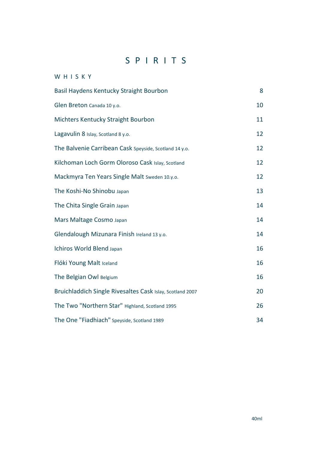## S P I R I T S

#### W H I S K Y

| Basil Haydens Kentucky Straight Bourbon                   | 8  |
|-----------------------------------------------------------|----|
| Glen Breton Canada 10 y.o.                                | 10 |
| Michters Kentucky Straight Bourbon                        | 11 |
| Lagavulin 8 Islay, Scotland 8 y.o.                        | 12 |
| The Balvenie Carribean Cask Speyside, Scotland 14 y.o.    | 12 |
| Kilchoman Loch Gorm Oloroso Cask Islay, Scotland          | 12 |
| Mackmyra Ten Years Single Malt Sweden 10.y.o.             | 12 |
| The Koshi-No Shinobu Japan                                | 13 |
| The Chita Single Grain Japan                              | 14 |
| Mars Maltage Cosmo Japan                                  | 14 |
| Glendalough Mizunara Finish Ireland 13 y.o.               | 14 |
| Ichiros World Blend Japan                                 | 16 |
| Flóki Young Malt Iceland                                  | 16 |
| The Belgian Owl Belgium                                   | 16 |
| Bruichladdich Single Rivesaltes Cask Islay, Scotland 2007 | 20 |
| The Two "Northern Star" Highland, Scotland 1995           | 26 |
| The One "Fiadhiach" Speyside, Scotland 1989               | 34 |